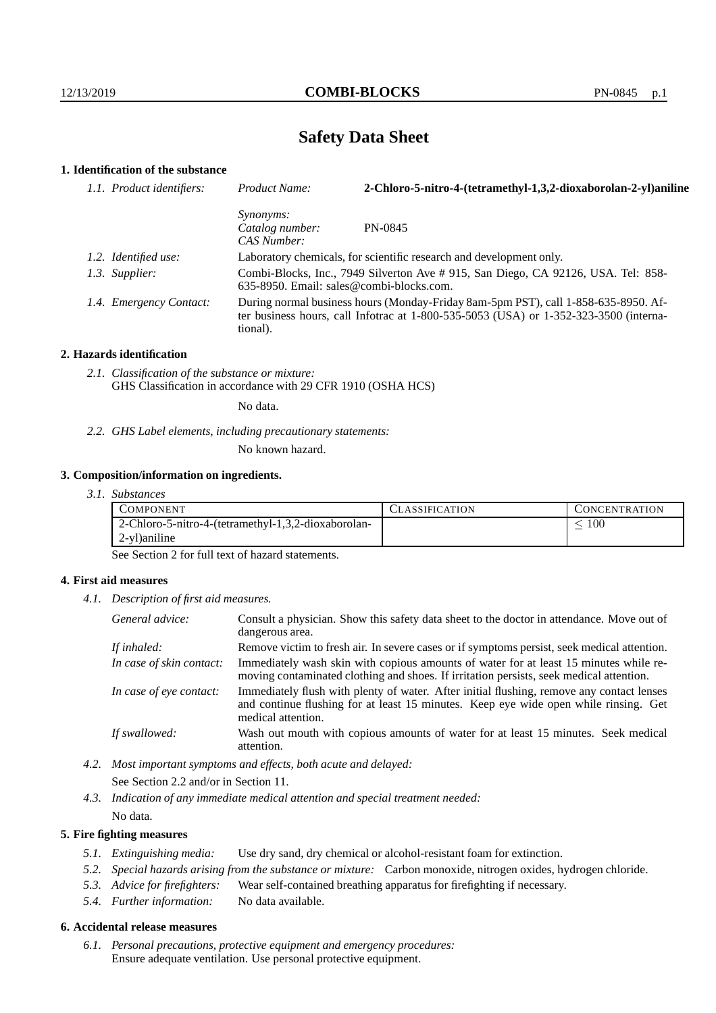# **Safety Data Sheet**

# **1. Identification of the substance**

| 1.1. Product identifiers: | Product Name:                                                                                                                                                                           | 2-Chloro-5-nitro-4-(tetramethyl-1,3,2-dioxaborolan-2-yl)aniline                                                                  |
|---------------------------|-----------------------------------------------------------------------------------------------------------------------------------------------------------------------------------------|----------------------------------------------------------------------------------------------------------------------------------|
|                           | <i>Synonyms:</i><br>Catalog number:<br>CAS Number:                                                                                                                                      | PN-0845                                                                                                                          |
| 1.2. Identified use:      |                                                                                                                                                                                         | Laboratory chemicals, for scientific research and development only.                                                              |
| 1.3. Supplier:            |                                                                                                                                                                                         | Combi-Blocks, Inc., 7949 Silverton Ave # 915, San Diego, CA 92126, USA. Tel: 858-<br>$635-8950$ . Email: sales@combi-blocks.com. |
| 1.4. Emergency Contact:   | During normal business hours (Monday-Friday 8am-5pm PST), call 1-858-635-8950. Af-<br>ter business hours, call Infotrac at 1-800-535-5053 (USA) or 1-352-323-3500 (interna-<br>tional). |                                                                                                                                  |

#### **2. Hazards identification**

*2.1. Classification of the substance or mixture:* GHS Classification in accordance with 29 CFR 1910 (OSHA HCS)

No data.

*2.2. GHS Label elements, including precautionary statements:*

No known hazard.

#### **3. Composition/information on ingredients.**

*3.1. Substances*

| COMPONENT                                           | LASSIFICATION | <b>CONCENTRATION</b> |
|-----------------------------------------------------|---------------|----------------------|
| 2-Chloro-5-nitro-4-(tetramethyl-1,3,2-dioxaborolan- |               | t00                  |
| 2-v1) aniline                                       |               |                      |

See Section 2 for full text of hazard statements.

#### **4. First aid measures**

*4.1. Description of first aid measures.*

| General advice:          | Consult a physician. Show this safety data sheet to the doctor in attendance. Move out of<br>dangerous area.                                                                                            |
|--------------------------|---------------------------------------------------------------------------------------------------------------------------------------------------------------------------------------------------------|
| If inhaled:              | Remove victim to fresh air. In severe cases or if symptoms persist, seek medical attention.                                                                                                             |
| In case of skin contact: | Immediately wash skin with copious amounts of water for at least 15 minutes while re-<br>moving contaminated clothing and shoes. If irritation persists, seek medical attention.                        |
| In case of eye contact:  | Immediately flush with plenty of water. After initial flushing, remove any contact lenses<br>and continue flushing for at least 15 minutes. Keep eye wide open while rinsing. Get<br>medical attention. |
| If swallowed:            | Wash out mouth with copious amounts of water for at least 15 minutes. Seek medical<br>attention.                                                                                                        |

*4.2. Most important symptoms and effects, both acute and delayed:* See Section 2.2 and/or in Section 11.

*4.3. Indication of any immediate medical attention and special treatment needed:* No data.

#### **5. Fire fighting measures**

- *5.1. Extinguishing media:* Use dry sand, dry chemical or alcohol-resistant foam for extinction.
- *5.2. Special hazards arising from the substance or mixture:* Carbon monoxide, nitrogen oxides, hydrogen chloride.
- *5.3. Advice for firefighters:* Wear self-contained breathing apparatus for firefighting if necessary.
- *5.4. Further information:* No data available.

### **6. Accidental release measures**

*6.1. Personal precautions, protective equipment and emergency procedures:* Ensure adequate ventilation. Use personal protective equipment.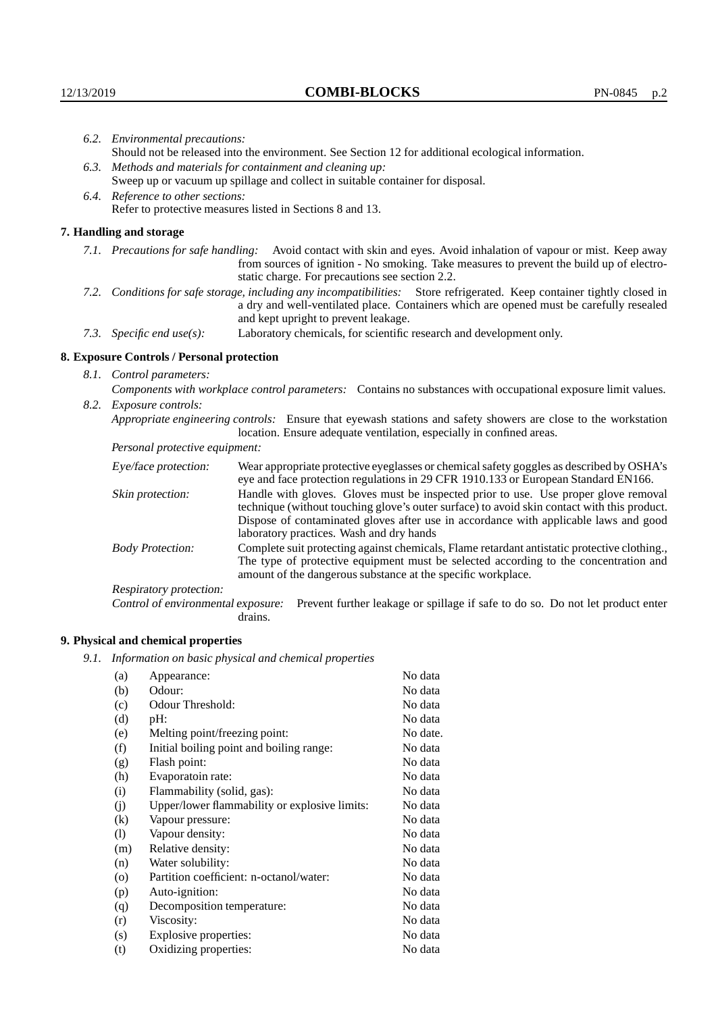|      | 6.2. Environmental precautions:                                                                                                                                                                                                                                    |                                                                                                                                                                                                                                                                             |  |
|------|--------------------------------------------------------------------------------------------------------------------------------------------------------------------------------------------------------------------------------------------------------------------|-----------------------------------------------------------------------------------------------------------------------------------------------------------------------------------------------------------------------------------------------------------------------------|--|
|      | Should not be released into the environment. See Section 12 for additional ecological information.                                                                                                                                                                 |                                                                                                                                                                                                                                                                             |  |
| 6.3. | Methods and materials for containment and cleaning up:                                                                                                                                                                                                             |                                                                                                                                                                                                                                                                             |  |
|      | Sweep up or vacuum up spillage and collect in suitable container for disposal.                                                                                                                                                                                     |                                                                                                                                                                                                                                                                             |  |
|      | 6.4. Reference to other sections:                                                                                                                                                                                                                                  |                                                                                                                                                                                                                                                                             |  |
|      | Refer to protective measures listed in Sections 8 and 13.                                                                                                                                                                                                          |                                                                                                                                                                                                                                                                             |  |
|      | 7. Handling and storage                                                                                                                                                                                                                                            |                                                                                                                                                                                                                                                                             |  |
|      | 7.1. Precautions for safe handling: Avoid contact with skin and eyes. Avoid inhalation of vapour or mist. Keep away<br>from sources of ignition - No smoking. Take measures to prevent the build up of electro-<br>static charge. For precautions see section 2.2. |                                                                                                                                                                                                                                                                             |  |
|      | 7.2. Conditions for safe storage, including any incompatibilities: Store refrigerated. Keep container tightly closed in<br>a dry and well-ventilated place. Containers which are opened must be carefully resealed<br>and kept upright to prevent leakage.         |                                                                                                                                                                                                                                                                             |  |
|      | 7.3. Specific end use(s):                                                                                                                                                                                                                                          | Laboratory chemicals, for scientific research and development only.                                                                                                                                                                                                         |  |
|      | 8. Exposure Controls / Personal protection                                                                                                                                                                                                                         |                                                                                                                                                                                                                                                                             |  |
|      | 8.1. Control parameters:                                                                                                                                                                                                                                           |                                                                                                                                                                                                                                                                             |  |
|      | Components with workplace control parameters: Contains no substances with occupational exposure limit values.                                                                                                                                                      |                                                                                                                                                                                                                                                                             |  |
|      | 8.2. Exposure controls:                                                                                                                                                                                                                                            |                                                                                                                                                                                                                                                                             |  |
|      |                                                                                                                                                                                                                                                                    |                                                                                                                                                                                                                                                                             |  |
|      | Appropriate engineering controls: Ensure that eyewash stations and safety showers are close to the workstation<br>location. Ensure adequate ventilation, especially in confined areas.                                                                             |                                                                                                                                                                                                                                                                             |  |
|      | Personal protective equipment:                                                                                                                                                                                                                                     |                                                                                                                                                                                                                                                                             |  |
|      | Eye/face protection:                                                                                                                                                                                                                                               | Wear appropriate protective eyeglasses or chemical safety goggles as described by OSHA's<br>eye and face protection regulations in 29 CFR 1910.133 or European Standard EN166.                                                                                              |  |
|      | Skin protection:                                                                                                                                                                                                                                                   | Handle with gloves. Gloves must be inspected prior to use. Use proper glove removal<br>technique (without touching glove's outer surface) to avoid skin contact with this product.<br>Dignage of conteminated glaves often use in coognigates with applicable laws and good |  |

## **8. Exposure Controls / Personal protection**

| Eye/face protection:               | Wear appropriate protective eyeglasses or chemical safety goggles as described by OSHA's<br>eye and face protection regulations in 29 CFR 1910.133 or European Standard EN166.                                                                                                                                         |
|------------------------------------|------------------------------------------------------------------------------------------------------------------------------------------------------------------------------------------------------------------------------------------------------------------------------------------------------------------------|
| Skin protection:                   | Handle with gloves. Gloves must be inspected prior to use. Use proper glove removal<br>technique (without touching glove's outer surface) to avoid skin contact with this product.<br>Dispose of contaminated gloves after use in accordance with applicable laws and good<br>laboratory practices. Wash and dry hands |
| <b>Body Protection:</b>            | Complete suit protecting against chemicals, Flame retardant antistatic protective clothing.,<br>The type of protective equipment must be selected according to the concentration and<br>amount of the dangerous substance at the specific workplace.                                                                   |
| <b>Respiratory protection:</b>     |                                                                                                                                                                                                                                                                                                                        |
| Control of environmental exposure: | Prevent further leakage or spillage if safe to do so. Do not let product enter<br>drains.                                                                                                                                                                                                                              |

# **9. Physical and chemical properties**

*9.1. Information on basic physical and chemical properties*

| (a)      | Appearance:                                   | No data  |
|----------|-----------------------------------------------|----------|
| (b)      | Odour:                                        | No data  |
| (c)      | Odour Threshold:                              | No data  |
| (d)      | pH:                                           | No data  |
| (e)      | Melting point/freezing point:                 | No date. |
| (f)      | Initial boiling point and boiling range:      | No data  |
| (g)      | Flash point:                                  | No data  |
| (h)      | Evaporatoin rate:                             | No data  |
| (i)      | Flammability (solid, gas):                    | No data  |
| (j)      | Upper/lower flammability or explosive limits: | No data  |
| $\rm(k)$ | Vapour pressure:                              | No data  |
| (1)      | Vapour density:                               | No data  |
| (m)      | Relative density:                             | No data  |
| (n)      | Water solubility:                             | No data  |
| (0)      | Partition coefficient: n-octanol/water:       | No data  |
| (p)      | Auto-ignition:                                | No data  |
| (q)      | Decomposition temperature:                    | No data  |
| (r)      | Viscosity:                                    | No data  |
| (s)      | Explosive properties:                         | No data  |
| (t)      | Oxidizing properties:                         | No data  |